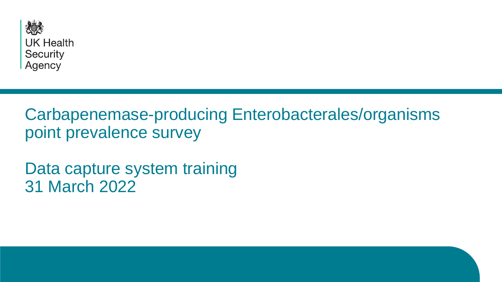

## Carbapenemase-producing Enterobacterales/organisms point prevalence survey

Data capture system training 31 March 2022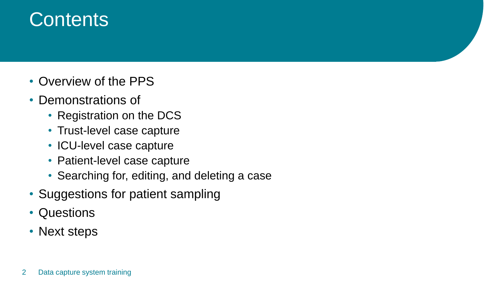# **Contents**

- Overview of the PPS
- Demonstrations of
	- Registration on the DCS
	- Trust-level case capture
	- ICU-level case capture
	- Patient-level case capture
	- Searching for, editing, and deleting a case
- Suggestions for patient sampling
- Questions
- Next steps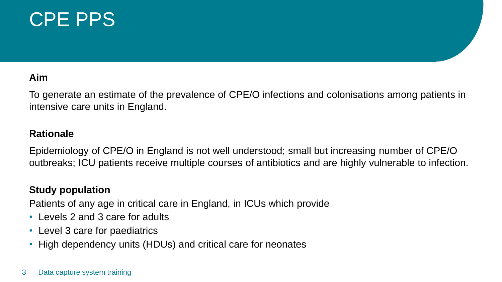# CPE PPS

### **Aim**

To generate an estimate of the prevalence of CPE/O infections and colonisations among patients in intensive care units in England.

### **Rationale**

Epidemiology of CPE/O in England is not well understood; small but increasing number of CPE/O outbreaks; ICU patients receive multiple courses of antibiotics and are highly vulnerable to infection.

### **Study population**

Patients of any age in critical care in England, in ICUs which provide

- Levels 2 and 3 care for adults
- Level 3 care for paediatrics
- High dependency units (HDUs) and critical care for neonates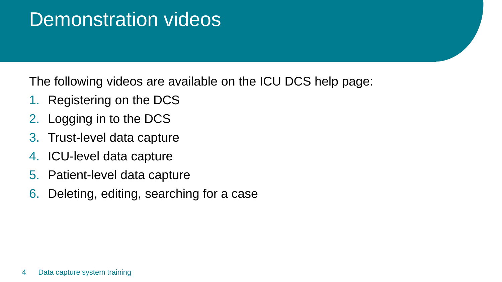## Demonstration videos

The following videos are available on the ICU DCS help page:

- 1. Registering on the DCS
- 2. Logging in to the DCS
- 3. Trust-level data capture
- 4. ICU-level data capture
- 5. Patient-level data capture
- 6. Deleting, editing, searching for a case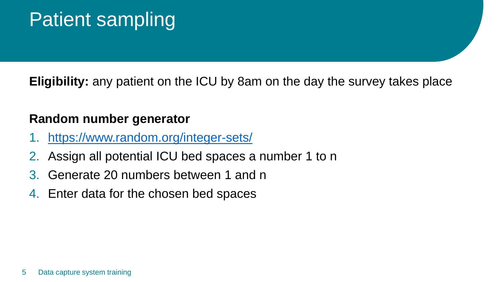# Patient sampling

**Eligibility:** any patient on the ICU by 8am on the day the survey takes place

## **Random number generator**

- <https://www.random.org/integer-sets/>
- 2. Assign all potential ICU bed spaces a number 1 to n
- 3. Generate 20 numbers between 1 and n
- 4. Enter data for the chosen bed spaces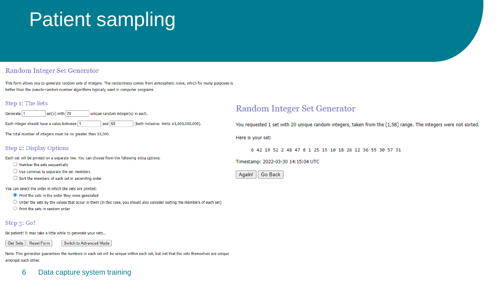# Patient sampling

#### **Random Integer Set Generator**

This form allows you to generate random sets of integers. The randomness comes from atmospheric noise, which for many purposes is better than the pseudo-random number algorithms typically used in computer programs.

each.

#### Step 1: The Sets

| Generate   1 | $\vert$ set(s) with $\vert$ 20 | unique random integer(s) in |
|--------------|--------------------------------|-----------------------------|
|              |                                |                             |

Each integer should have a value between 1 and  $58$ (both inclusive; limits ±1,000,000,000).

The total number of integers must be no greater than 10,000.

#### **Step 2: Display Options**

Each set will be printed on a separate line. You can choose from the following extra options:

- $\Box$  Number the sets sequentially
- $\Box$  Use commas to separate the set members
- $\Box$  Sort the members of each set in ascending order

You can select the order in which the sets are printed:

- Print the sets in the order they were generated
- $\circlearrowright$  O order the sets by the values that occur in them (in this case, you should also consider sorting the members of each set)
- $\bigcirc$  Print the sets in random order

#### Step 3: Go!

Be patient! It may take a little while to generate your sets...

Get Sets | Reset Form

Switch to Advanced Mode

Note: This generator guarantees the numbers in each set will be unique within each set, but not that the sets themselves are unique amongst each other.

### 6 Data capture system training

### Random Integer Set Generator

You requested 1 set with 20 unique random integers, taken from the [1,58] range. The integers were not sorted.

Here is your set:

6 42 19 52 2 48 47 8 1 25 15 10 18 26 12 36 55 30 57 31

Timestamp: 2022-03-30 14:15:04 UTC

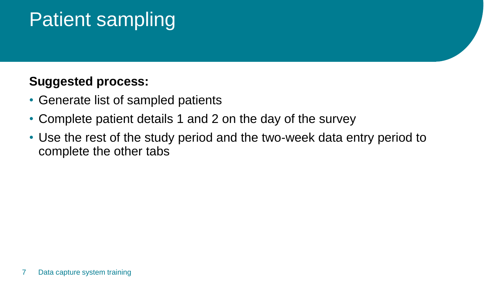# Patient sampling

## **Suggested process:**

- Generate list of sampled patients
- Complete patient details 1 and 2 on the day of the survey
- Use the rest of the study period and the two-week data entry period to complete the other tabs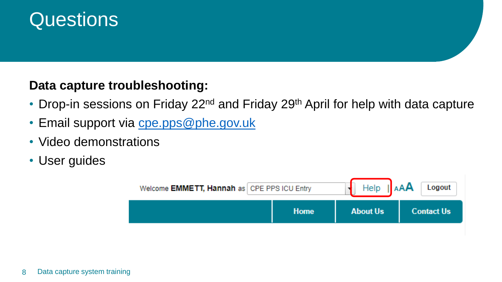# Questions

## **Data capture troubleshooting:**

- Drop-in sessions on Friday 22<sup>nd</sup> and Friday 29<sup>th</sup> April for help with data capture
- Email support via [cpe.pps@phe.gov.uk](mailto:cpe.pps@phe.gov.uk)
- Video demonstrations
- User guides